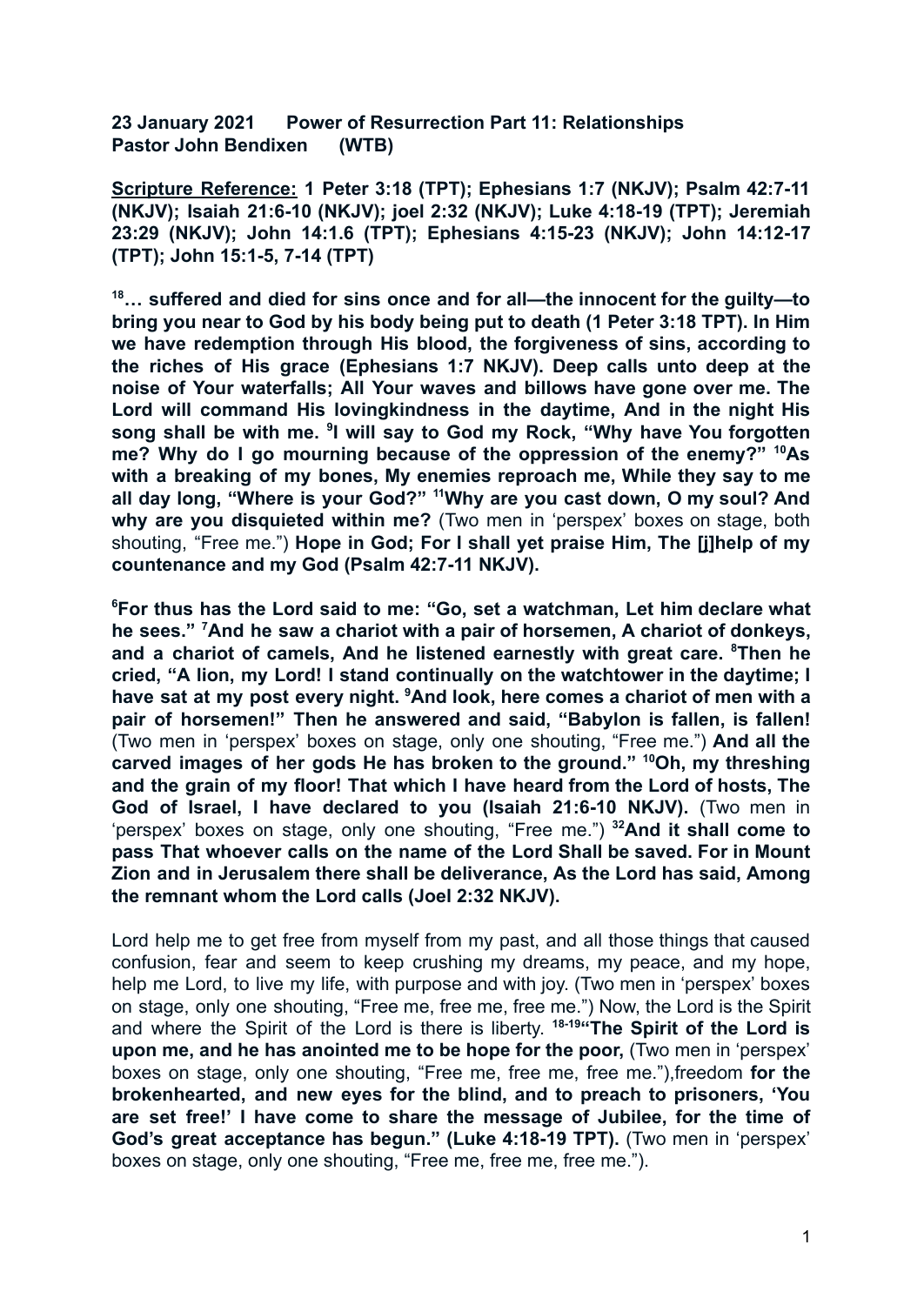**23 January 2021 Power of Resurrection Part 11: Relationships Pastor John Bendixen (WTB)**

**Scripture Reference: 1 Peter 3:18 (TPT); Ephesians 1:7 (NKJV); Psalm 42:7-11 (NKJV); Isaiah 21:6-10 (NKJV); joel 2:32 (NKJV); Luke 4:18-19 (TPT); Jeremiah 23:29 (NKJV); John 14:1.6 (TPT); Ephesians 4:15-23 (NKJV); John 14:12-17 (TPT); John 15:1-5, 7-14 (TPT)**

**<sup>18</sup>… suffered and died for sins once and for all—the innocent for the guilty—to bring you near to God by his body being put to death (1 Peter 3:18 TPT). In Him we have redemption through His blood, the forgiveness of sins, according to the riches of His grace (Ephesians 1:7 NKJV). Deep calls unto deep at the noise of Your waterfalls; All Your waves and billows have gone over me. The Lord will command His lovingkindness in the daytime, And in the night His song shall be with me. <sup>9</sup> I will say to God my Rock, "Why have You forgotten me? Why do I go mourning because of the oppression of the enemy?" <sup>10</sup>As with a breaking of my bones, My enemies reproach me, While they say to me all day long, "Where is your God?" <sup>11</sup>Why are you cast down, O my soul? And why are you disquieted within me?** (Two men in 'perspex' boxes on stage, both shouting, "Free me.") **Hope in God; For I shall yet praise Him, The [[j](https://www.biblegateway.com/passage/?search=Psalm+42&version=NKJV#fen-NKJV-14567j)]help of my countenance and my God (Psalm 42:7-11 NKJV).**

**<sup>6</sup>For thus has the Lord said to me: "Go, set a watchman, Let him declare what he sees." <sup>7</sup>And he saw a chariot with a pair of horsemen, A chariot of donkeys, and a chariot of camels, And he listened earnestly with great care. <sup>8</sup>Then he cried, "A lion, my Lord! I stand continually on the watchtower in the daytime; I have sat at my post every night. <sup>9</sup>And look, here comes a chariot of men with a pair of horsemen!" Then he answered and said, "Babylon is fallen, is fallen!** (Two men in 'perspex' boxes on stage, only one shouting, "Free me.") **And all the carved images of her gods He has broken to the ground." <sup>10</sup>Oh, my threshing and the grain of my floor! That which I have heard from the Lord of hosts, The God of Israel, I have declared to you (Isaiah 21:6-10 NKJV).** (Two men in 'perspex' boxes on stage, only one shouting, "Free me.") **<sup>32</sup>And it shall come to pass That whoever calls on the name of the Lord Shall be saved. For in Mount Zion and in Jerusalem there shall be deliverance, As the Lord has said, Among the remnant whom the Lord calls (Joel 2:32 NKJV).**

Lord help me to get free from myself from my past, and all those things that caused confusion, fear and seem to keep crushing my dreams, my peace, and my hope, help me Lord, to live my life, with purpose and with joy. (Two men in 'perspex' boxes on stage, only one shouting, "Free me, free me, free me.") Now, the Lord is the Spirit and where the Spirit of the Lord is there is liberty. **18-19"The Spirit of the Lord is upon me, and he has anointed me to be hope for the poor,** (Two men in 'perspex' boxes on stage, only one shouting, "Free me, free me, free me."),freedom **for the brokenhearted, and new eyes for the blind, and to preach to prisoners, 'You are set free!' I have come to share the message of Jubilee, for the time of God's great acceptance has begun." (Luke 4:18-19 TPT).** (Two men in 'perspex' boxes on stage, only one shouting, "Free me, free me, free me.").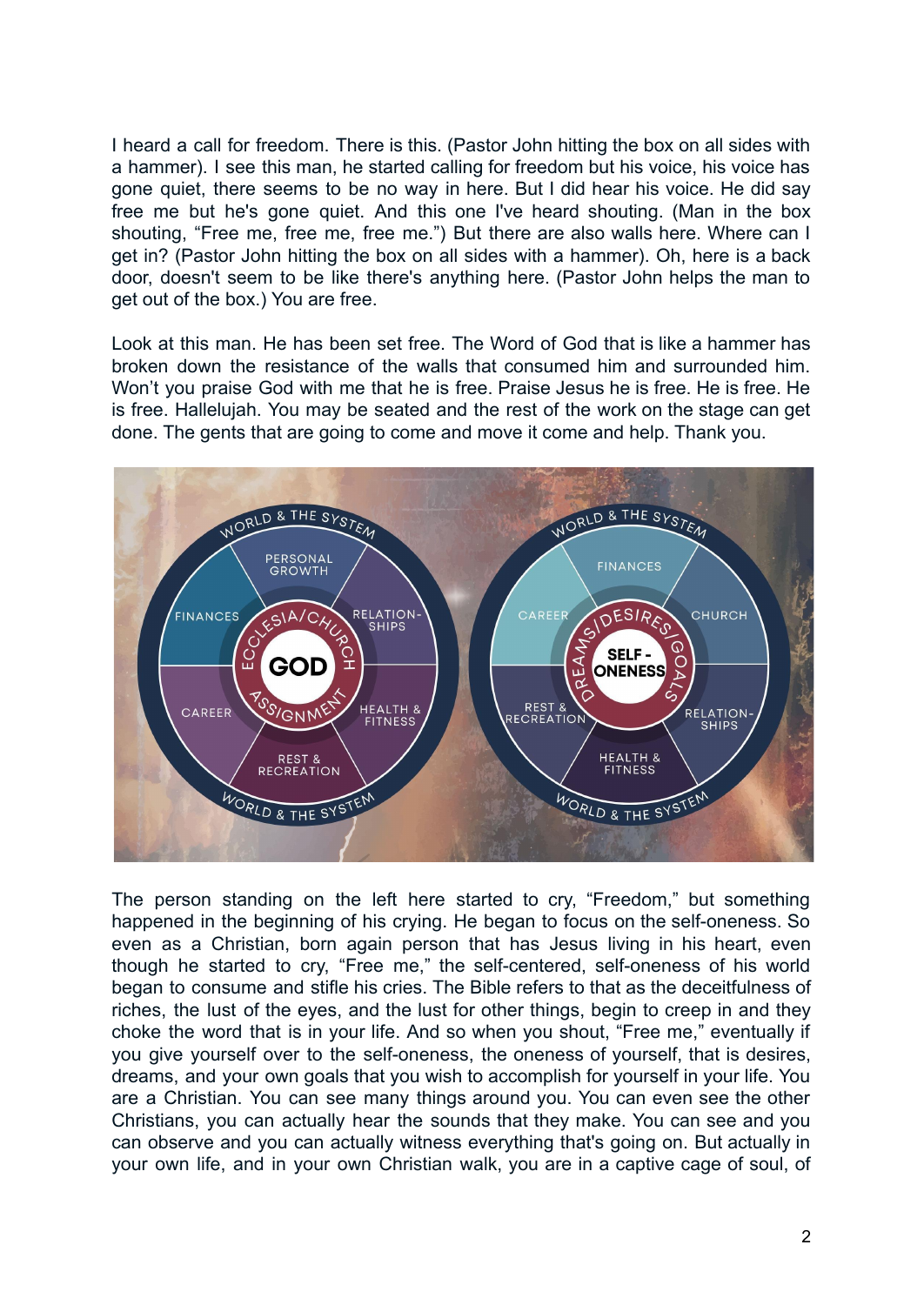I heard a call for freedom. There is this. (Pastor John hitting the box on all sides with a hammer). I see this man, he started calling for freedom but his voice, his voice has gone quiet, there seems to be no way in here. But I did hear his voice. He did say free me but he's gone quiet. And this one I've heard shouting. (Man in the box shouting, "Free me, free me, free me.") But there are also walls here. Where can I get in? (Pastor John hitting the box on all sides with a hammer). Oh, here is a back door, doesn't seem to be like there's anything here. (Pastor John helps the man to get out of the box.) You are free.

Look at this man. He has been set free. The Word of God that is like a hammer has broken down the resistance of the walls that consumed him and surrounded him. Won't you praise God with me that he is free. Praise Jesus he is free. He is free. He is free. Hallelujah. You may be seated and the rest of the work on the stage can get done. The gents that are going to come and move it come and help. Thank you.



The person standing on the left here started to cry, "Freedom," but something happened in the beginning of his crying. He began to focus on the self-oneness. So even as a Christian, born again person that has Jesus living in his heart, even though he started to cry, "Free me," the self-centered, self-oneness of his world began to consume and stifle his cries. The Bible refers to that as the deceitfulness of riches, the lust of the eyes, and the lust for other things, begin to creep in and they choke the word that is in your life. And so when you shout, "Free me," eventually if you give yourself over to the self-oneness, the oneness of yourself, that is desires, dreams, and your own goals that you wish to accomplish for yourself in your life. You are a Christian. You can see many things around you. You can even see the other Christians, you can actually hear the sounds that they make. You can see and you can observe and you can actually witness everything that's going on. But actually in your own life, and in your own Christian walk, you are in a captive cage of soul, of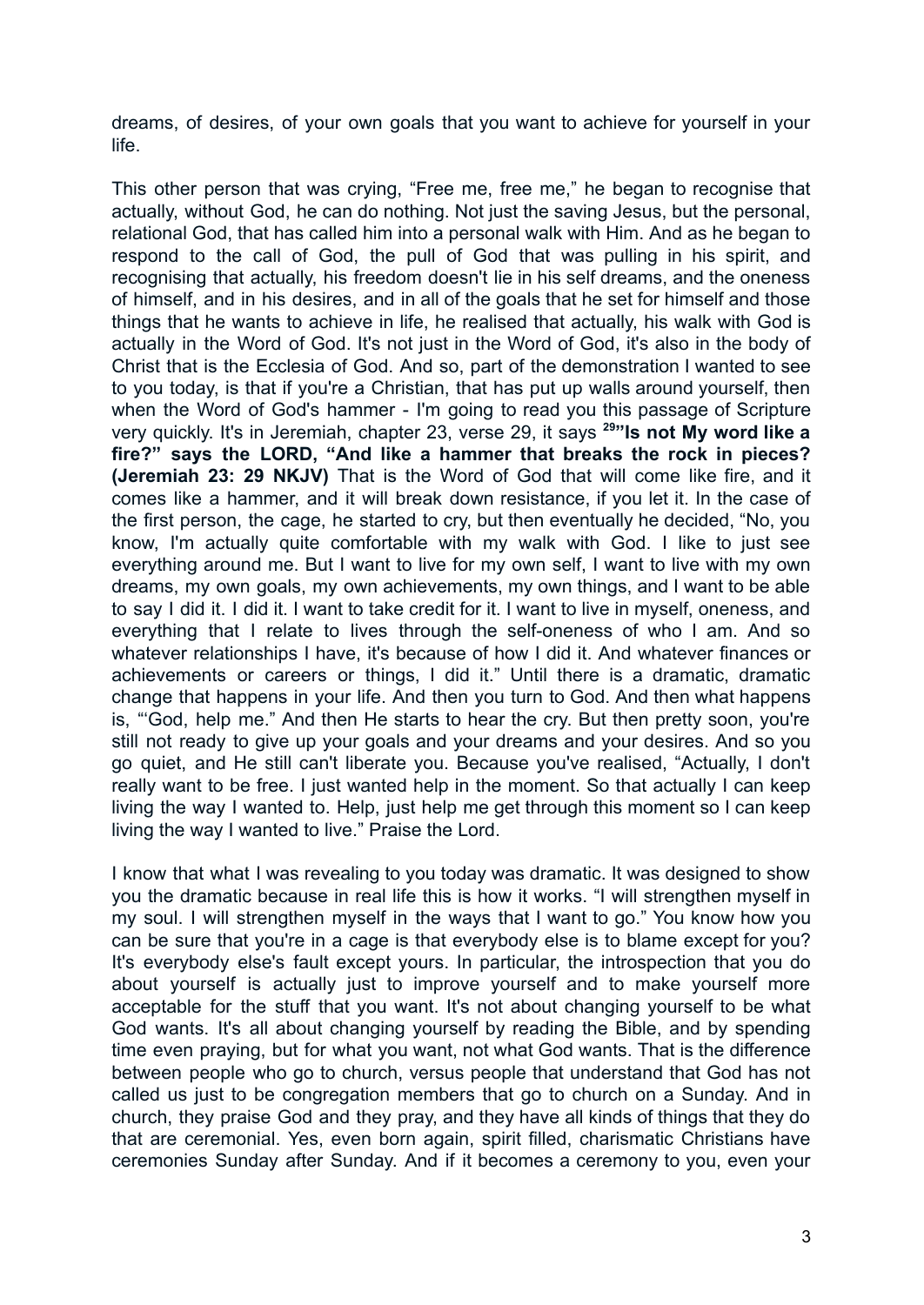dreams, of desires, of your own goals that you want to achieve for yourself in your life.

This other person that was crying, "Free me, free me," he began to recognise that actually, without God, he can do nothing. Not just the saving Jesus, but the personal, relational God, that has called him into a personal walk with Him. And as he began to respond to the call of God, the pull of God that was pulling in his spirit, and recognising that actually, his freedom doesn't lie in his self dreams, and the oneness of himself, and in his desires, and in all of the goals that he set for himself and those things that he wants to achieve in life, he realised that actually, his walk with God is actually in the Word of God. It's not just in the Word of God, it's also in the body of Christ that is the Ecclesia of God. And so, part of the demonstration I wanted to see to you today, is that if you're a Christian, that has put up walls around yourself, then when the Word of God's hammer - I'm going to read you this passage of Scripture very quickly. It's in Jeremiah, chapter 23, verse 29, it says **<sup>29</sup>"Is not My word like a fire?" says the LORD, "And like a hammer that breaks the rock in pieces? (Jeremiah 23: 29 NKJV)** That is the Word of God that will come like fire, and it comes like a hammer, and it will break down resistance, if you let it. In the case of the first person, the cage, he started to cry, but then eventually he decided, "No, you know, I'm actually quite comfortable with my walk with God. I like to just see everything around me. But I want to live for my own self, I want to live with my own dreams, my own goals, my own achievements, my own things, and I want to be able to say I did it. I did it. I want to take credit for it. I want to live in myself, oneness, and everything that I relate to lives through the self-oneness of who I am. And so whatever relationships I have, it's because of how I did it. And whatever finances or achievements or careers or things, I did it." Until there is a dramatic, dramatic change that happens in your life. And then you turn to God. And then what happens is, "'God, help me." And then He starts to hear the cry. But then pretty soon, you're still not ready to give up your goals and your dreams and your desires. And so you go quiet, and He still can't liberate you. Because you've realised, "Actually, I don't really want to be free. I just wanted help in the moment. So that actually I can keep living the way I wanted to. Help, just help me get through this moment so I can keep living the way I wanted to live." Praise the Lord.

I know that what I was revealing to you today was dramatic. It was designed to show you the dramatic because in real life this is how it works. "I will strengthen myself in my soul. I will strengthen myself in the ways that I want to go." You know how you can be sure that you're in a cage is that everybody else is to blame except for you? It's everybody else's fault except yours. In particular, the introspection that you do about yourself is actually just to improve yourself and to make yourself more acceptable for the stuff that you want. It's not about changing yourself to be what God wants. It's all about changing yourself by reading the Bible, and by spending time even praying, but for what you want, not what God wants. That is the difference between people who go to church, versus people that understand that God has not called us just to be congregation members that go to church on a Sunday. And in church, they praise God and they pray, and they have all kinds of things that they do that are ceremonial. Yes, even born again, spirit filled, charismatic Christians have ceremonies Sunday after Sunday. And if it becomes a ceremony to you, even your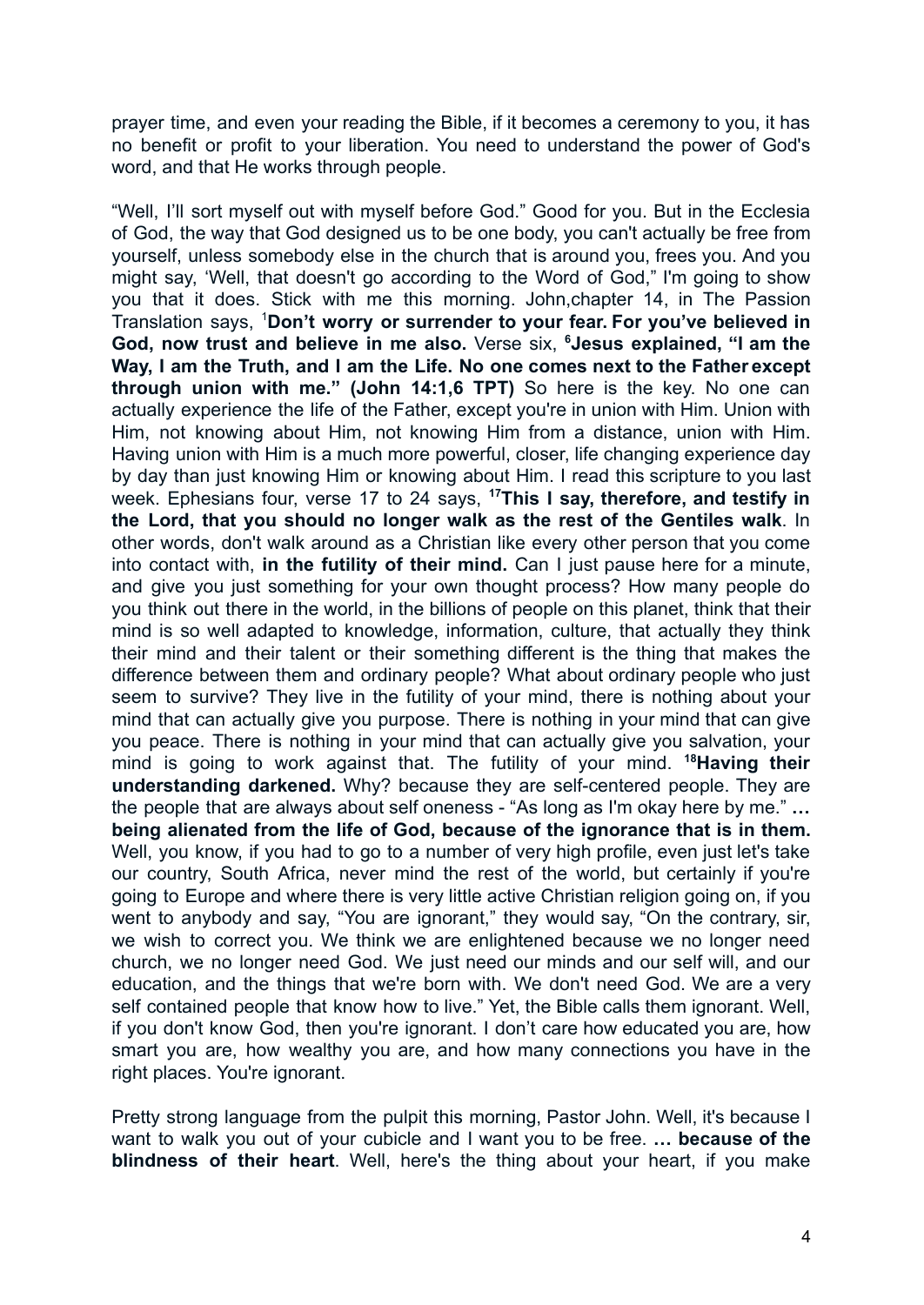prayer time, and even your reading the Bible, if it becomes a ceremony to you, it has no benefit or profit to your liberation. You need to understand the power of God's word, and that He works through people.

"Well, I'll sort myself out with myself before God." Good for you. But in the Ecclesia of God, the way that God designed us to be one body, you can't actually be free from yourself, unless somebody else in the church that is around you, frees you. And you might say, 'Well, that doesn't go according to the Word of God," I'm going to show you that it does. Stick with me this morning. John,chapter 14, in The Passion Translation says, <sup>1</sup>**Don't worry or surrender to your fear. For you've believed in God, now trust and believe in me also.** Verse six, **<sup>6</sup>Jesus explained, "I am the Way, I am the Truth, and I am the Life. No one comes next to the Father except through union with me." (John 14:1,6 TPT)** So here is the key. No one can actually experience the life of the Father, except you're in union with Him. Union with Him, not knowing about Him, not knowing Him from a distance, union with Him. Having union with Him is a much more powerful, closer, life changing experience day by day than just knowing Him or knowing about Him. I read this scripture to you last week. Ephesians four, verse 17 to 24 says, **<sup>17</sup>This I say, therefore, and testify in the Lord, that you should no longer walk as the rest of the Gentiles walk**. In other words, don't walk around as a Christian like every other person that you come into contact with, **in the futility of their mind.** Can I just pause here for a minute, and give you just something for your own thought process? How many people do you think out there in the world, in the billions of people on this planet, think that their mind is so well adapted to knowledge, information, culture, that actually they think their mind and their talent or their something different is the thing that makes the difference between them and ordinary people? What about ordinary people who just seem to survive? They live in the futility of your mind, there is nothing about your mind that can actually give you purpose. There is nothing in your mind that can give you peace. There is nothing in your mind that can actually give you salvation, your mind is going to work against that. The futility of your mind. **<sup>18</sup>Having their understanding darkened.** Why? because they are self-centered people. They are the people that are always about self oneness - "As long as I'm okay here by me." **… being alienated from the life of God, because of the ignorance that is in them.** Well, you know, if you had to go to a number of very high profile, even just let's take our country, South Africa, never mind the rest of the world, but certainly if you're going to Europe and where there is very little active Christian religion going on, if you went to anybody and say, "You are ignorant," they would say, "On the contrary, sir, we wish to correct you. We think we are enlightened because we no longer need church, we no longer need God. We just need our minds and our self will, and our education, and the things that we're born with. We don't need God. We are a very self contained people that know how to live." Yet, the Bible calls them ignorant. Well, if you don't know God, then you're ignorant. I don't care how educated you are, how smart you are, how wealthy you are, and how many connections you have in the right places. You're ignorant.

Pretty strong language from the pulpit this morning, Pastor John. Well, it's because I want to walk you out of your cubicle and I want you to be free. **… because of the blindness of their heart**. Well, here's the thing about your heart, if you make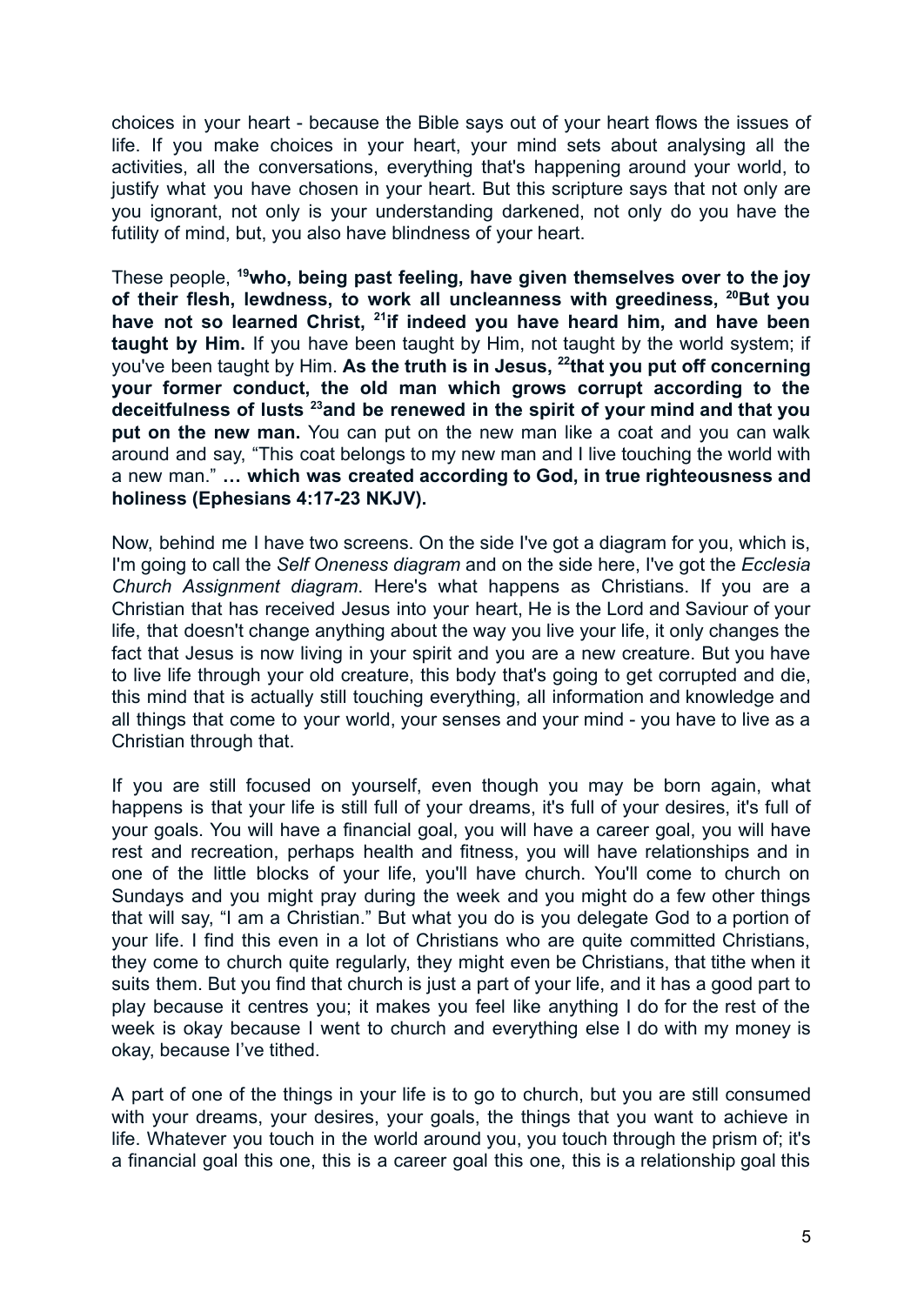choices in your heart - because the Bible says out of your heart flows the issues of life. If you make choices in your heart, your mind sets about analysing all the activities, all the conversations, everything that's happening around your world, to justify what you have chosen in your heart. But this scripture says that not only are you ignorant, not only is your understanding darkened, not only do you have the futility of mind, but, you also have blindness of your heart.

These people, **<sup>19</sup>who, being past feeling, have given themselves over to the joy of their flesh, lewdness, to work all uncleanness with greediness, <sup>20</sup>But you have not so learned Christ, <sup>21</sup> if indeed you have heard him, and have been taught by Him.** If you have been taught by Him, not taught by the world system; if you've been taught by Him. **As the truth is in Jesus, <sup>22</sup> that you put off concerning your former conduct, the old man which grows corrupt according to the deceitfulness of lusts <sup>23</sup>and be renewed in the spirit of your mind and that you put on the new man.** You can put on the new man like a coat and you can walk around and say, "This coat belongs to my new man and I live touching the world with a new man." **… which was created according to God, in true righteousness and holiness (Ephesians 4:17-23 NKJV).**

Now, behind me I have two screens. On the side I've got a diagram for you, which is, I'm going to call the *Self Oneness diagram* and on the side here, I've got the *Ecclesia Church Assignment diagram*. Here's what happens as Christians. If you are a Christian that has received Jesus into your heart, He is the Lord and Saviour of your life, that doesn't change anything about the way you live your life, it only changes the fact that Jesus is now living in your spirit and you are a new creature. But you have to live life through your old creature, this body that's going to get corrupted and die, this mind that is actually still touching everything, all information and knowledge and all things that come to your world, your senses and your mind - you have to live as a Christian through that.

If you are still focused on yourself, even though you may be born again, what happens is that your life is still full of your dreams, it's full of your desires, it's full of your goals. You will have a financial goal, you will have a career goal, you will have rest and recreation, perhaps health and fitness, you will have relationships and in one of the little blocks of your life, you'll have church. You'll come to church on Sundays and you might pray during the week and you might do a few other things that will say, "I am a Christian." But what you do is you delegate God to a portion of your life. I find this even in a lot of Christians who are quite committed Christians, they come to church quite regularly, they might even be Christians, that tithe when it suits them. But you find that church is just a part of your life, and it has a good part to play because it centres you; it makes you feel like anything I do for the rest of the week is okay because I went to church and everything else I do with my money is okay, because I've tithed.

A part of one of the things in your life is to go to church, but you are still consumed with your dreams, your desires, your goals, the things that you want to achieve in life. Whatever you touch in the world around you, you touch through the prism of; it's a financial goal this one, this is a career goal this one, this is a relationship goal this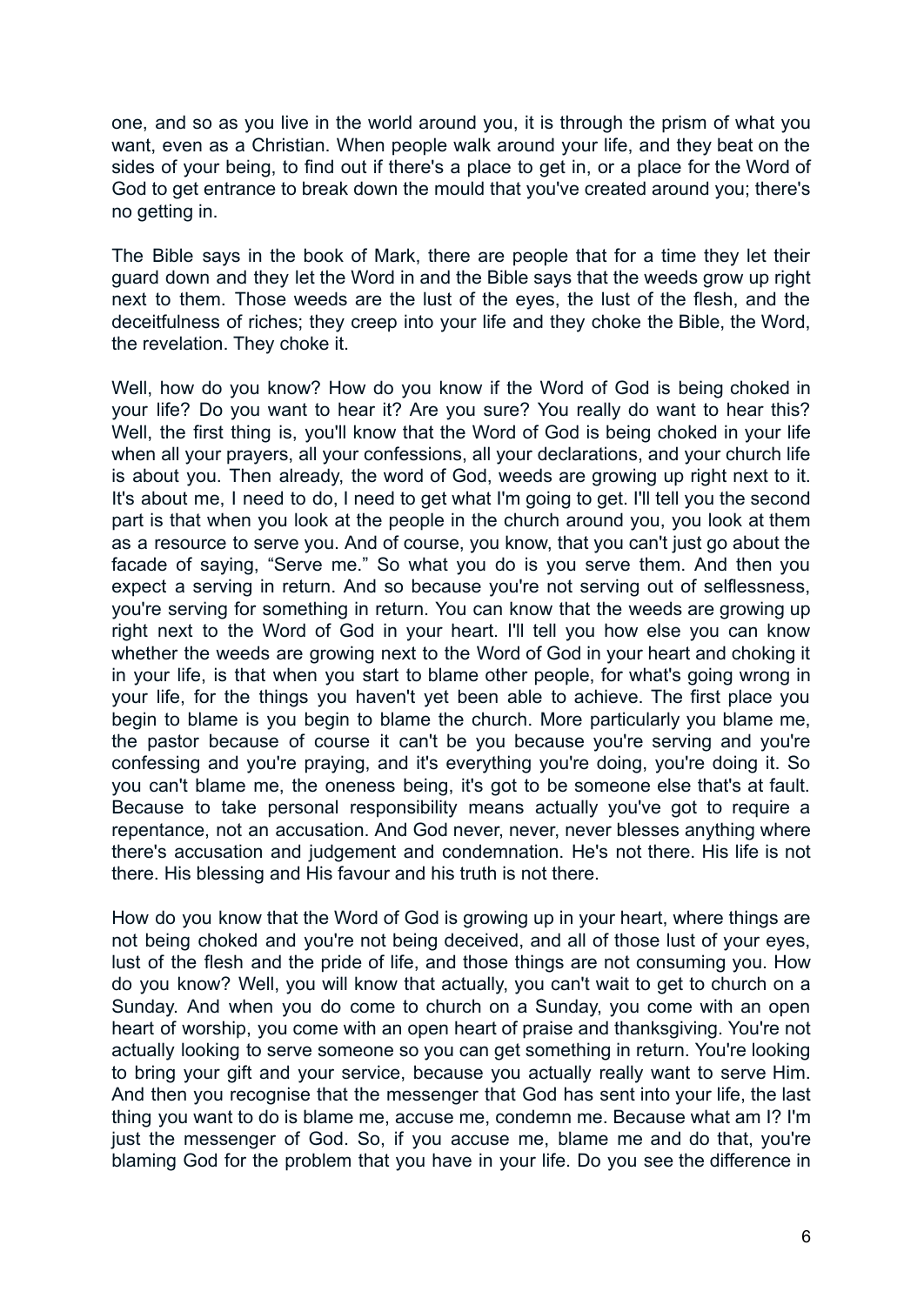one, and so as you live in the world around you, it is through the prism of what you want, even as a Christian. When people walk around your life, and they beat on the sides of your being, to find out if there's a place to get in, or a place for the Word of God to get entrance to break down the mould that you've created around you; there's no getting in.

The Bible says in the book of Mark, there are people that for a time they let their guard down and they let the Word in and the Bible says that the weeds grow up right next to them. Those weeds are the lust of the eyes, the lust of the flesh, and the deceitfulness of riches; they creep into your life and they choke the Bible, the Word, the revelation. They choke it.

Well, how do you know? How do you know if the Word of God is being choked in your life? Do you want to hear it? Are you sure? You really do want to hear this? Well, the first thing is, you'll know that the Word of God is being choked in your life when all your prayers, all your confessions, all your declarations, and your church life is about you. Then already, the word of God, weeds are growing up right next to it. It's about me, I need to do, I need to get what I'm going to get. I'll tell you the second part is that when you look at the people in the church around you, you look at them as a resource to serve you. And of course, you know, that you can't just go about the facade of saying, "Serve me." So what you do is you serve them. And then you expect a serving in return. And so because you're not serving out of selflessness, you're serving for something in return. You can know that the weeds are growing up right next to the Word of God in your heart. I'll tell you how else you can know whether the weeds are growing next to the Word of God in your heart and choking it in your life, is that when you start to blame other people, for what's going wrong in your life, for the things you haven't yet been able to achieve. The first place you begin to blame is you begin to blame the church. More particularly you blame me, the pastor because of course it can't be you because you're serving and you're confessing and you're praying, and it's everything you're doing, you're doing it. So you can't blame me, the oneness being, it's got to be someone else that's at fault. Because to take personal responsibility means actually you've got to require a repentance, not an accusation. And God never, never, never blesses anything where there's accusation and judgement and condemnation. He's not there. His life is not there. His blessing and His favour and his truth is not there.

How do you know that the Word of God is growing up in your heart, where things are not being choked and you're not being deceived, and all of those lust of your eyes, lust of the flesh and the pride of life, and those things are not consuming you. How do you know? Well, you will know that actually, you can't wait to get to church on a Sunday. And when you do come to church on a Sunday, you come with an open heart of worship, you come with an open heart of praise and thanksgiving. You're not actually looking to serve someone so you can get something in return. You're looking to bring your gift and your service, because you actually really want to serve Him. And then you recognise that the messenger that God has sent into your life, the last thing you want to do is blame me, accuse me, condemn me. Because what am I? I'm just the messenger of God. So, if you accuse me, blame me and do that, you're blaming God for the problem that you have in your life. Do you see the difference in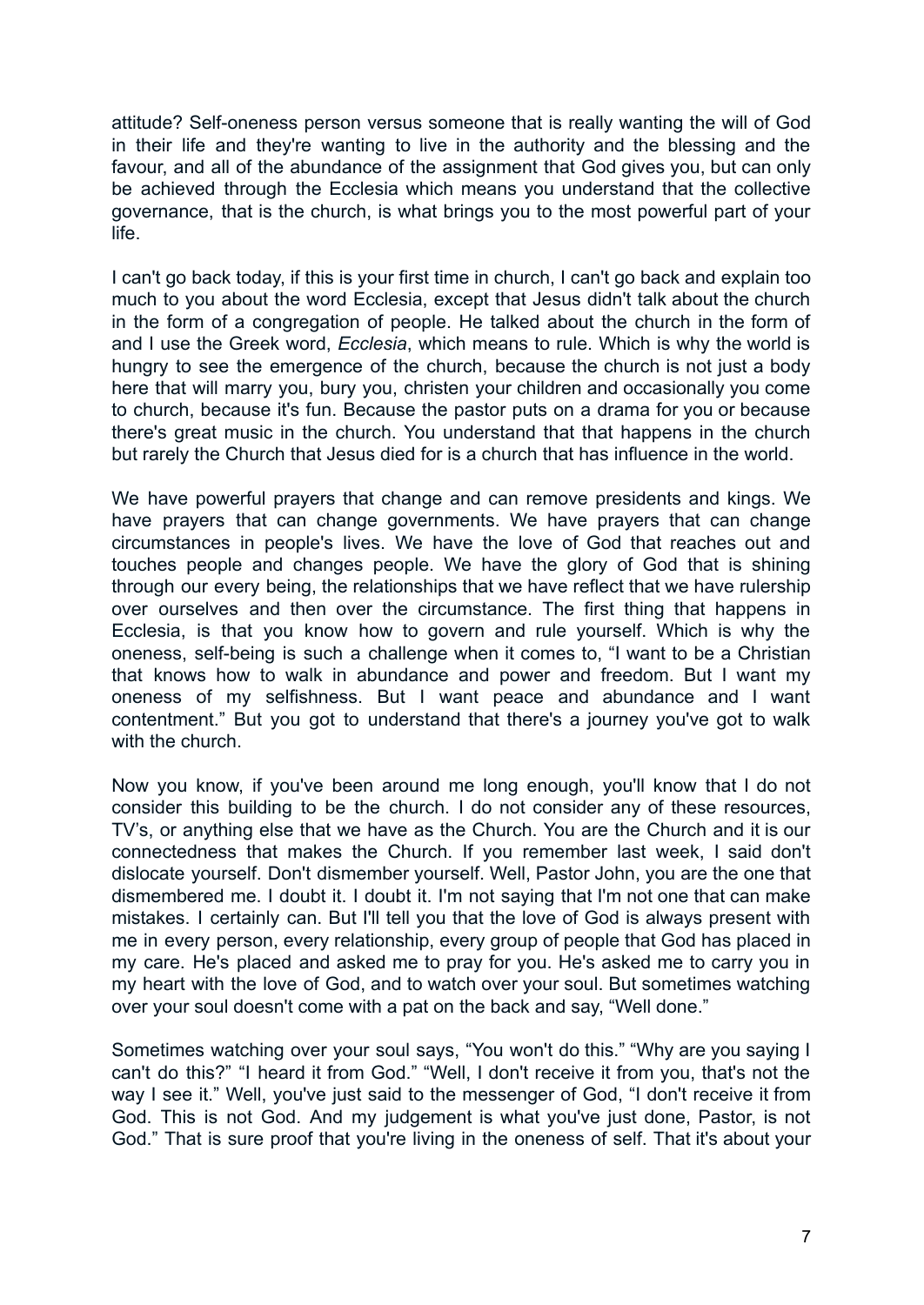attitude? Self-oneness person versus someone that is really wanting the will of God in their life and they're wanting to live in the authority and the blessing and the favour, and all of the abundance of the assignment that God gives you, but can only be achieved through the Ecclesia which means you understand that the collective governance, that is the church, is what brings you to the most powerful part of your life.

I can't go back today, if this is your first time in church, I can't go back and explain too much to you about the word Ecclesia, except that Jesus didn't talk about the church in the form of a congregation of people. He talked about the church in the form of and I use the Greek word, *Ecclesia*, which means to rule. Which is why the world is hungry to see the emergence of the church, because the church is not just a body here that will marry you, bury you, christen your children and occasionally you come to church, because it's fun. Because the pastor puts on a drama for you or because there's great music in the church. You understand that that happens in the church but rarely the Church that Jesus died for is a church that has influence in the world.

We have powerful prayers that change and can remove presidents and kings. We have prayers that can change governments. We have prayers that can change circumstances in people's lives. We have the love of God that reaches out and touches people and changes people. We have the glory of God that is shining through our every being, the relationships that we have reflect that we have rulership over ourselves and then over the circumstance. The first thing that happens in Ecclesia, is that you know how to govern and rule yourself. Which is why the oneness, self-being is such a challenge when it comes to, "I want to be a Christian that knows how to walk in abundance and power and freedom. But I want my oneness of my selfishness. But I want peace and abundance and I want contentment." But you got to understand that there's a journey you've got to walk with the church.

Now you know, if you've been around me long enough, you'll know that I do not consider this building to be the church. I do not consider any of these resources, TV's, or anything else that we have as the Church. You are the Church and it is our connectedness that makes the Church. If you remember last week, I said don't dislocate yourself. Don't dismember yourself. Well, Pastor John, you are the one that dismembered me. I doubt it. I doubt it. I'm not saying that I'm not one that can make mistakes. I certainly can. But I'll tell you that the love of God is always present with me in every person, every relationship, every group of people that God has placed in my care. He's placed and asked me to pray for you. He's asked me to carry you in my heart with the love of God, and to watch over your soul. But sometimes watching over your soul doesn't come with a pat on the back and say, "Well done."

Sometimes watching over your soul says, "You won't do this." "Why are you saying I can't do this?" "I heard it from God." "Well, I don't receive it from you, that's not the way I see it." Well, you've just said to the messenger of God, "I don't receive it from God. This is not God. And my judgement is what you've just done, Pastor, is not God." That is sure proof that you're living in the oneness of self. That it's about your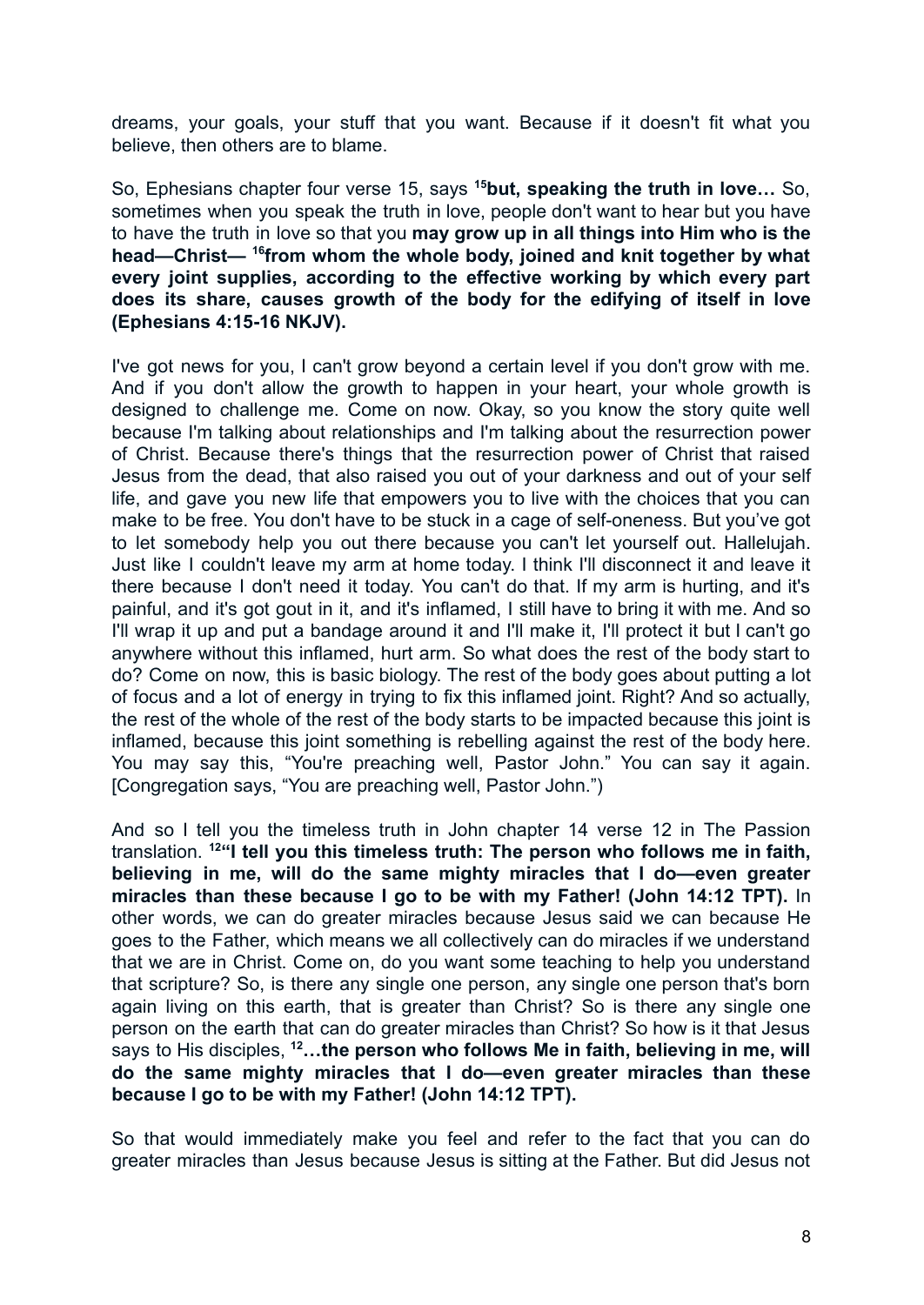dreams, your goals, your stuff that you want. Because if it doesn't fit what you believe, then others are to blame.

So, Ephesians chapter four verse 15, says **<sup>15</sup>but, speaking the truth in love…** So, sometimes when you speak the truth in love, people don't want to hear but you have to have the truth in love so that you **may grow up in all things into Him who is the head—Christ— <sup>16</sup> from whom the whole body, joined and knit together by what every joint supplies, according to the effective working by which every part does its share, causes growth of the body for the edifying of itself in love (Ephesians 4:15-16 NKJV).**

I've got news for you, I can't grow beyond a certain level if you don't grow with me. And if you don't allow the growth to happen in your heart, your whole growth is designed to challenge me. Come on now. Okay, so you know the story quite well because I'm talking about relationships and I'm talking about the resurrection power of Christ. Because there's things that the resurrection power of Christ that raised Jesus from the dead, that also raised you out of your darkness and out of your self life, and gave you new life that empowers you to live with the choices that you can make to be free. You don't have to be stuck in a cage of self-oneness. But you've got to let somebody help you out there because you can't let yourself out. Hallelujah. Just like I couldn't leave my arm at home today. I think I'll disconnect it and leave it there because I don't need it today. You can't do that. If my arm is hurting, and it's painful, and it's got gout in it, and it's inflamed, I still have to bring it with me. And so I'll wrap it up and put a bandage around it and I'll make it, I'll protect it but I can't go anywhere without this inflamed, hurt arm. So what does the rest of the body start to do? Come on now, this is basic biology. The rest of the body goes about putting a lot of focus and a lot of energy in trying to fix this inflamed joint. Right? And so actually, the rest of the whole of the rest of the body starts to be impacted because this joint is inflamed, because this joint something is rebelling against the rest of the body here. You may say this, "You're preaching well, Pastor John." You can say it again. [Congregation says, "You are preaching well, Pastor John.")

And so I tell you the timeless truth in John chapter 14 verse 12 in The Passion translation. **<sup>12</sup>"I tell you this timeless truth: The person who follows me in faith, believing in me, will do the same mighty miracles that I do—even greater miracles than these because I go to be with my Father! (John 14:12 TPT).** In other words, we can do greater miracles because Jesus said we can because He goes to the Father, which means we all collectively can do miracles if we understand that we are in Christ. Come on, do you want some teaching to help you understand that scripture? So, is there any single one person, any single one person that's born again living on this earth, that is greater than Christ? So is there any single one person on the earth that can do greater miracles than Christ? So how is it that Jesus says to His disciples, **<sup>12</sup>…the person who follows Me in faith, believing in me, will do the same mighty miracles that I do—even greater miracles than these because I go to be with my Father! (John 14:12 TPT).**

So that would immediately make you feel and refer to the fact that you can do greater miracles than Jesus because Jesus is sitting at the Father. But did Jesus not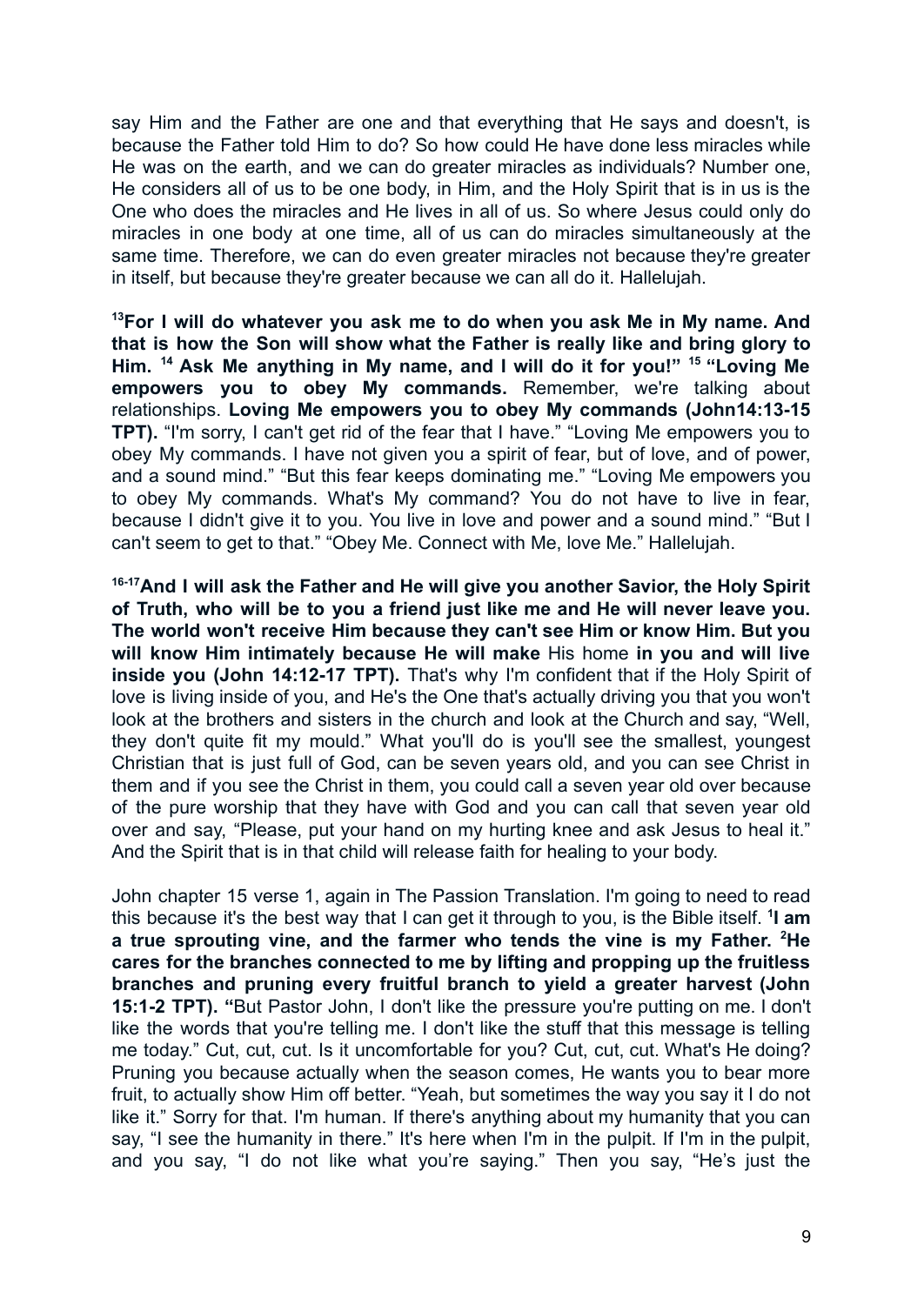say Him and the Father are one and that everything that He says and doesn't, is because the Father told Him to do? So how could He have done less miracles while He was on the earth, and we can do greater miracles as individuals? Number one, He considers all of us to be one body, in Him, and the Holy Spirit that is in us is the One who does the miracles and He lives in all of us. So where Jesus could only do miracles in one body at one time, all of us can do miracles simultaneously at the same time. Therefore, we can do even greater miracles not because they're greater in itself, but because they're greater because we can all do it. Hallelujah.

**<sup>13</sup>For I will do whatever you ask me to do when you ask Me in My name. And that is how the Son will show what the Father is really like and bring glory to Him. <sup>14</sup> Ask Me anything in My name, and I will do it for you!" <sup>15</sup> "Loving Me empowers you to obey My commands.** Remember, we're talking about relationships. **Loving Me empowers you to obey My commands (John14:13-15 TPT).** "I'm sorry, I can't get rid of the fear that I have." "Loving Me empowers you to obey My commands. I have not given you a spirit of fear, but of love, and of power, and a sound mind." "But this fear keeps dominating me." "Loving Me empowers you to obey My commands. What's My command? You do not have to live in fear, because I didn't give it to you. You live in love and power and a sound mind." "But I can't seem to get to that." "Obey Me. Connect with Me, love Me." Hallelujah.

**16-17And I will ask the Father and He will give you another Savior, the Holy Spirit of Truth, who will be to you a friend just like me and He will never leave you. The world won't receive Him because they can't see Him or know Him. But you will know Him intimately because He will make** His home **in you and will live inside you (John 14:12-17 TPT).** That's why I'm confident that if the Holy Spirit of love is living inside of you, and He's the One that's actually driving you that you won't look at the brothers and sisters in the church and look at the Church and say, "Well, they don't quite fit my mould." What you'll do is you'll see the smallest, youngest Christian that is just full of God, can be seven years old, and you can see Christ in them and if you see the Christ in them, you could call a seven year old over because of the pure worship that they have with God and you can call that seven year old over and say, "Please, put your hand on my hurting knee and ask Jesus to heal it." And the Spirit that is in that child will release faith for healing to your body.

John chapter 15 verse 1, again in The Passion Translation. I'm going to need to read this because it's the best way that I can get it through to you, is the Bible itself. **<sup>1</sup> I am a true sprouting vine, and the farmer who tends the vine is my Father. <sup>2</sup>He cares for the branches connected to me by lifting and propping up the fruitless branches and pruning every fruitful branch to yield a greater harvest (John 15:1-2 TPT). "**But Pastor John, I don't like the pressure you're putting on me. I don't like the words that you're telling me. I don't like the stuff that this message is telling me today." Cut, cut, cut. Is it uncomfortable for you? Cut, cut, cut. What's He doing? Pruning you because actually when the season comes, He wants you to bear more fruit, to actually show Him off better. "Yeah, but sometimes the way you say it I do not like it." Sorry for that. I'm human. If there's anything about my humanity that you can say, "I see the humanity in there." It's here when I'm in the pulpit. If I'm in the pulpit, and you say, "I do not like what you're saying." Then you say, "He's just the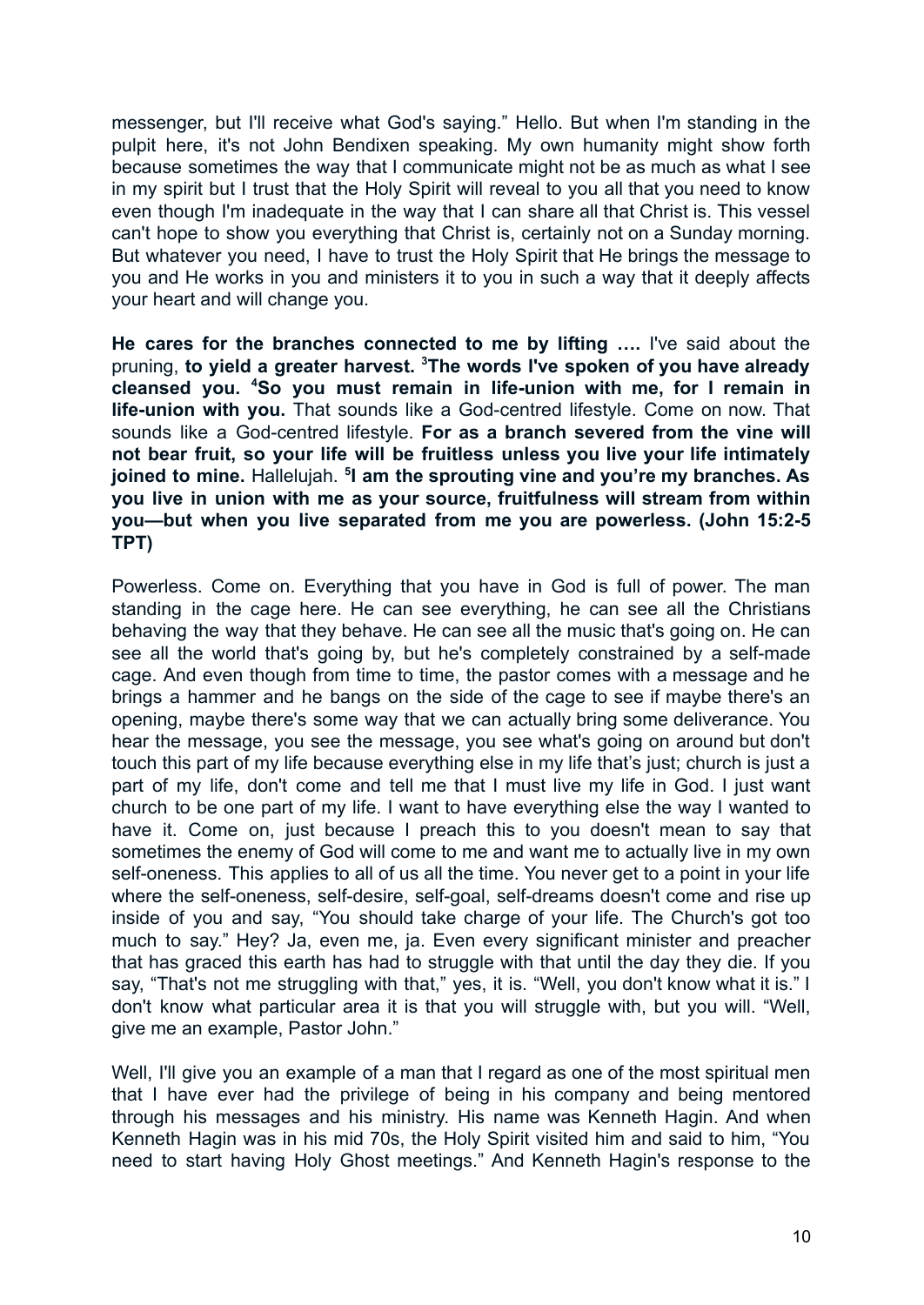messenger, but I'll receive what God's saying." Hello. But when I'm standing in the pulpit here, it's not John Bendixen speaking. My own humanity might show forth because sometimes the way that I communicate might not be as much as what I see in my spirit but I trust that the Holy Spirit will reveal to you all that you need to know even though I'm inadequate in the way that I can share all that Christ is. This vessel can't hope to show you everything that Christ is, certainly not on a Sunday morning. But whatever you need, I have to trust the Holy Spirit that He brings the message to you and He works in you and ministers it to you in such a way that it deeply affects your heart and will change you.

**He cares for the branches connected to me by lifting ….** I've said about the pruning, **to yield a greater harvest. <sup>3</sup>The words I've spoken of you have already cleansed you. <sup>4</sup>So you must remain in life-union with me, for I remain in life-union with you.** That sounds like a God-centred lifestyle. Come on now. That sounds like a God-centred lifestyle. **For as a branch severed from the vine will not bear fruit, so your life will be fruitless unless you live your life intimately joined to mine.** Hallelujah. **<sup>5</sup> I am the sprouting vine and you're my branches. As you live in union with me as your source, fruitfulness will stream from within you—but when you live separated from me you are powerless. (John 15:2-5 TPT)**

Powerless. Come on. Everything that you have in God is full of power. The man standing in the cage here. He can see everything, he can see all the Christians behaving the way that they behave. He can see all the music that's going on. He can see all the world that's going by, but he's completely constrained by a self-made cage. And even though from time to time, the pastor comes with a message and he brings a hammer and he bangs on the side of the cage to see if maybe there's an opening, maybe there's some way that we can actually bring some deliverance. You hear the message, you see the message, you see what's going on around but don't touch this part of my life because everything else in my life that's just; church is just a part of my life, don't come and tell me that I must live my life in God. I just want church to be one part of my life. I want to have everything else the way I wanted to have it. Come on, just because I preach this to you doesn't mean to say that sometimes the enemy of God will come to me and want me to actually live in my own self-oneness. This applies to all of us all the time. You never get to a point in your life where the self-oneness, self-desire, self-goal, self-dreams doesn't come and rise up inside of you and say, "You should take charge of your life. The Church's got too much to say." Hey? Ja, even me, ja. Even every significant minister and preacher that has graced this earth has had to struggle with that until the day they die. If you say, "That's not me struggling with that," yes, it is. "Well, you don't know what it is." I don't know what particular area it is that you will struggle with, but you will. "Well, give me an example, Pastor John."

Well, I'll give you an example of a man that I regard as one of the most spiritual men that I have ever had the privilege of being in his company and being mentored through his messages and his ministry. His name was Kenneth Hagin. And when Kenneth Hagin was in his mid 70s, the Holy Spirit visited him and said to him, "You need to start having Holy Ghost meetings." And Kenneth Hagin's response to the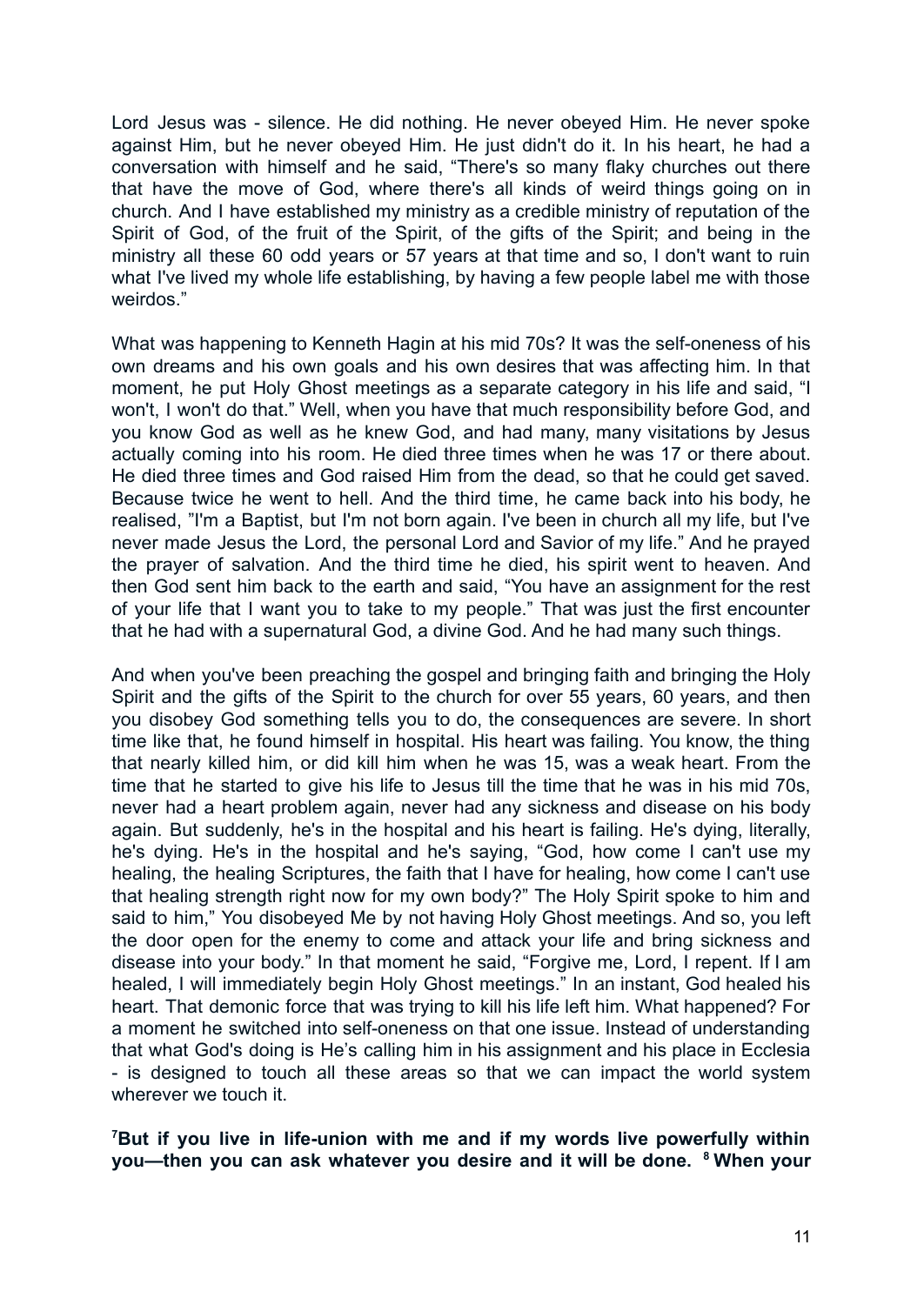Lord Jesus was - silence. He did nothing. He never obeyed Him. He never spoke against Him, but he never obeyed Him. He just didn't do it. In his heart, he had a conversation with himself and he said, "There's so many flaky churches out there that have the move of God, where there's all kinds of weird things going on in church. And I have established my ministry as a credible ministry of reputation of the Spirit of God, of the fruit of the Spirit, of the gifts of the Spirit; and being in the ministry all these 60 odd years or 57 years at that time and so, I don't want to ruin what I've lived my whole life establishing, by having a few people label me with those weirdos<sup>"</sup>

What was happening to Kenneth Hagin at his mid 70s? It was the self-oneness of his own dreams and his own goals and his own desires that was affecting him. In that moment, he put Holy Ghost meetings as a separate category in his life and said, "I won't, I won't do that." Well, when you have that much responsibility before God, and you know God as well as he knew God, and had many, many visitations by Jesus actually coming into his room. He died three times when he was 17 or there about. He died three times and God raised Him from the dead, so that he could get saved. Because twice he went to hell. And the third time, he came back into his body, he realised, "I'm a Baptist, but I'm not born again. I've been in church all my life, but I've never made Jesus the Lord, the personal Lord and Savior of my life." And he prayed the prayer of salvation. And the third time he died, his spirit went to heaven. And then God sent him back to the earth and said, "You have an assignment for the rest of your life that I want you to take to my people." That was just the first encounter that he had with a supernatural God, a divine God. And he had many such things.

And when you've been preaching the gospel and bringing faith and bringing the Holy Spirit and the gifts of the Spirit to the church for over 55 years, 60 years, and then you disobey God something tells you to do, the consequences are severe. In short time like that, he found himself in hospital. His heart was failing. You know, the thing that nearly killed him, or did kill him when he was 15, was a weak heart. From the time that he started to give his life to Jesus till the time that he was in his mid 70s, never had a heart problem again, never had any sickness and disease on his body again. But suddenly, he's in the hospital and his heart is failing. He's dying, literally, he's dying. He's in the hospital and he's saying, "God, how come I can't use my healing, the healing Scriptures, the faith that I have for healing, how come I can't use that healing strength right now for my own body?" The Holy Spirit spoke to him and said to him," You disobeyed Me by not having Holy Ghost meetings. And so, you left the door open for the enemy to come and attack your life and bring sickness and disease into your body." In that moment he said, "Forgive me, Lord, I repent. If I am healed, I will immediately begin Holy Ghost meetings." In an instant, God healed his heart. That demonic force that was trying to kill his life left him. What happened? For a moment he switched into self-oneness on that one issue. Instead of understanding that what God's doing is He's calling him in his assignment and his place in Ecclesia - is designed to touch all these areas so that we can impact the world system wherever we touch it.

**<sup>7</sup>But if you live in life-union with me and if my words live powerfully within you—then you can ask whatever you desire and it will be done. <sup>8</sup> When your**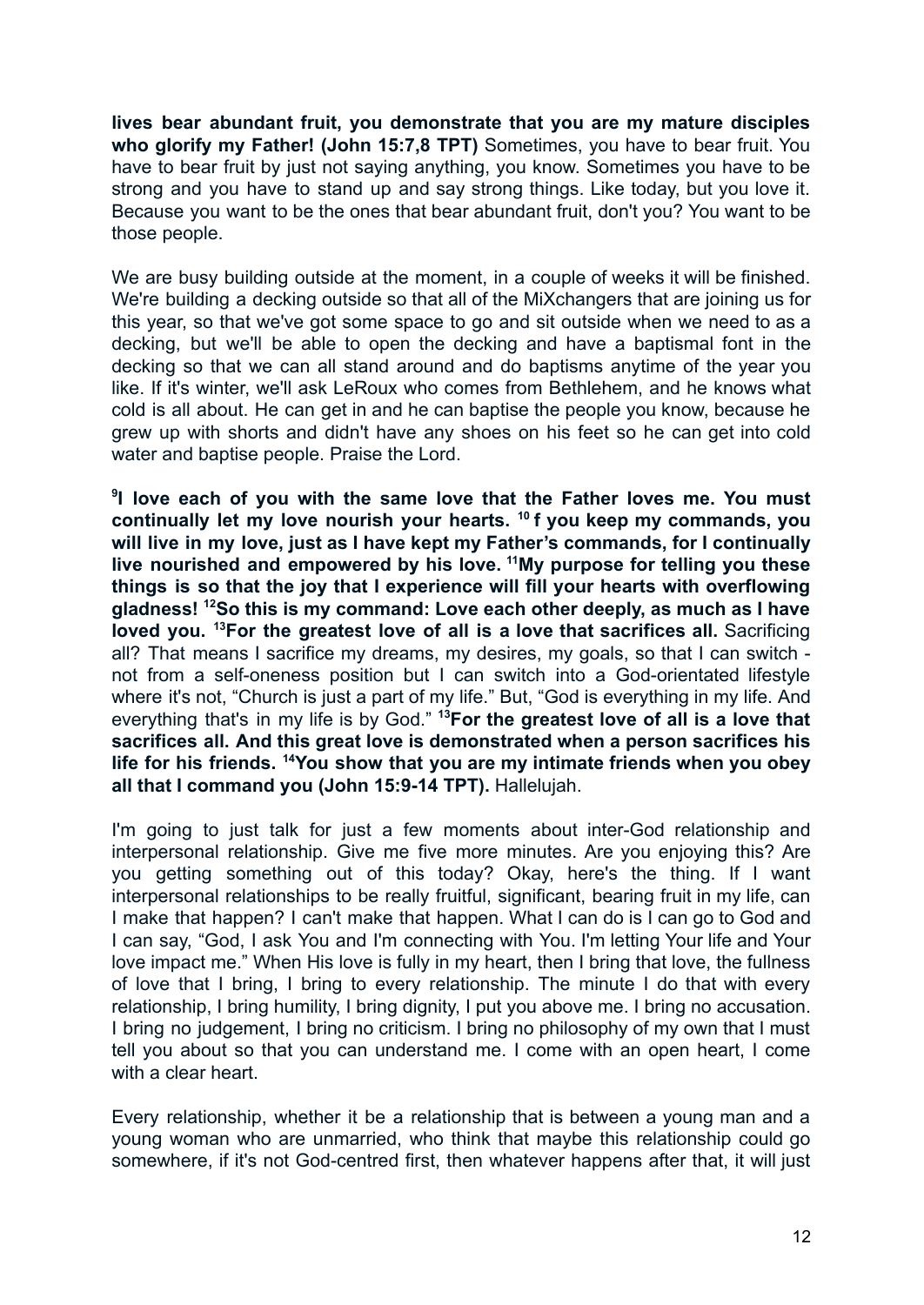**lives bear abundant fruit, you demonstrate that you are my mature disciples who glorify my Father! (John 15:7,8 TPT)** Sometimes, you have to bear fruit. You have to bear fruit by just not saying anything, you know. Sometimes you have to be strong and you have to stand up and say strong things. Like today, but you love it. Because you want to be the ones that bear abundant fruit, don't you? You want to be those people.

We are busy building outside at the moment, in a couple of weeks it will be finished. We're building a decking outside so that all of the MiXchangers that are joining us for this year, so that we've got some space to go and sit outside when we need to as a decking, but we'll be able to open the decking and have a baptismal font in the decking so that we can all stand around and do baptisms anytime of the year you like. If it's winter, we'll ask LeRoux who comes from Bethlehem, and he knows what cold is all about. He can get in and he can baptise the people you know, because he grew up with shorts and didn't have any shoes on his feet so he can get into cold water and baptise people. Praise the Lord.

**9 I love each of you with the same love that the Father loves me. You must continually let my love nourish your hearts. <sup>10</sup> f you keep my commands, you will live in my love, just as I have kept my Father's commands, for I continually live nourished and empowered by his love. <sup>11</sup>My purpose for telling you these things is so that the joy that I experience will fill your hearts with overflowing gladness! <sup>12</sup>So this is my command: Love each other deeply, as much as I have loved you. <sup>13</sup>For the greatest love of all is a love that sacrifices all.** Sacrificing all? That means I sacrifice my dreams, my desires, my goals, so that I can switch not from a self-oneness position but I can switch into a God-orientated lifestyle where it's not, "Church is just a part of my life." But, "God is everything in my life. And everything that's in my life is by God." **<sup>13</sup>For the greatest love of all is a love that sacrifices all. And this great love is demonstrated when a person sacrifices his life for his friends. <sup>14</sup>You show that you are my intimate friends when you obey all that I command you (John 15:9-14 TPT).** Hallelujah.

I'm going to just talk for just a few moments about inter-God relationship and interpersonal relationship. Give me five more minutes. Are you enjoying this? Are you getting something out of this today? Okay, here's the thing. If I want interpersonal relationships to be really fruitful, significant, bearing fruit in my life, can I make that happen? I can't make that happen. What I can do is I can go to God and I can say, "God, I ask You and I'm connecting with You. I'm letting Your life and Your love impact me." When His love is fully in my heart, then I bring that love, the fullness of love that I bring, I bring to every relationship. The minute I do that with every relationship, I bring humility, I bring dignity, I put you above me. I bring no accusation. I bring no judgement, I bring no criticism. I bring no philosophy of my own that I must tell you about so that you can understand me. I come with an open heart, I come with a clear heart.

Every relationship, whether it be a relationship that is between a young man and a young woman who are unmarried, who think that maybe this relationship could go somewhere, if it's not God-centred first, then whatever happens after that, it will just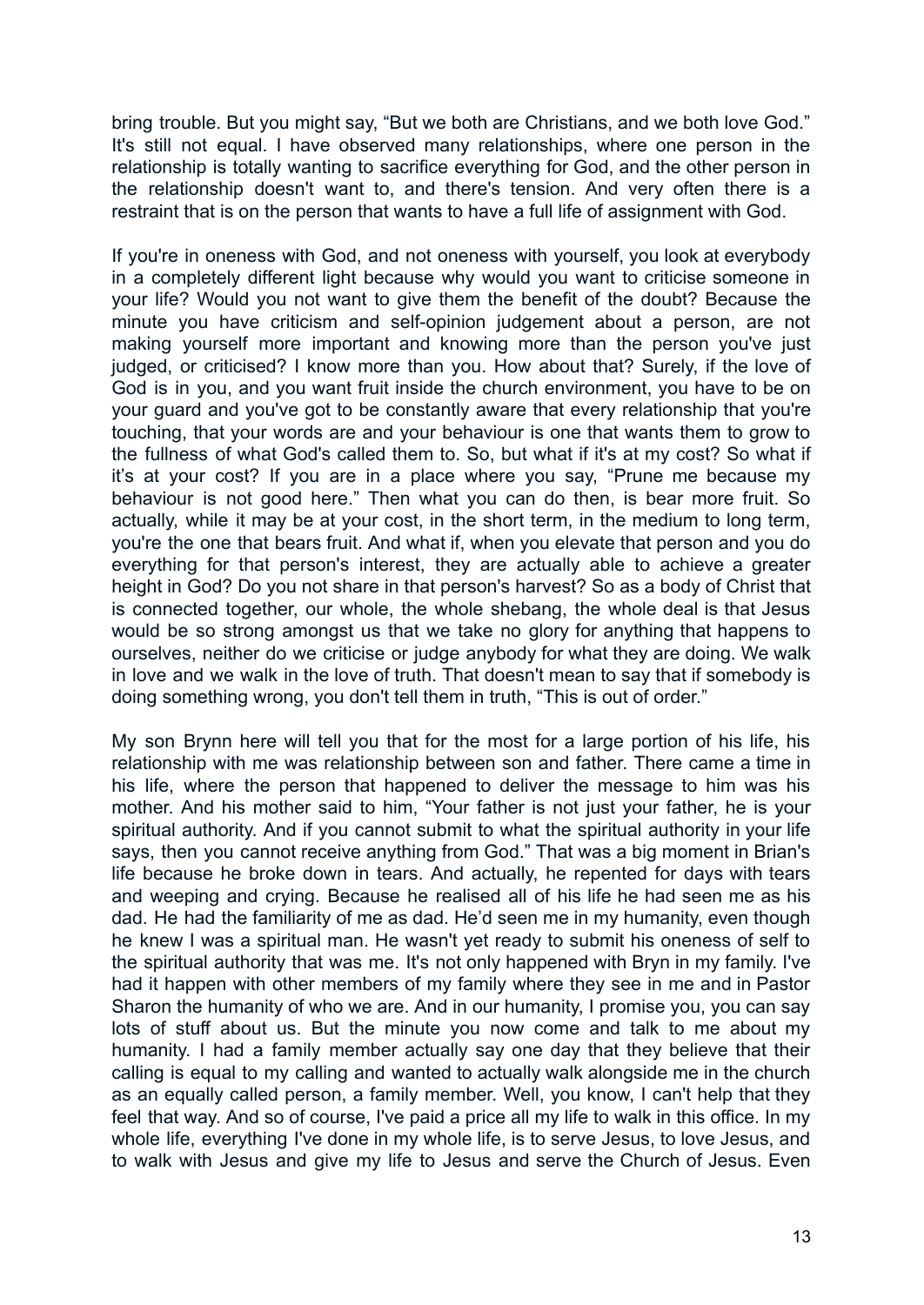bring trouble. But you might say, "But we both are Christians, and we both love God." It's still not equal. I have observed many relationships, where one person in the relationship is totally wanting to sacrifice everything for God, and the other person in the relationship doesn't want to, and there's tension. And very often there is a restraint that is on the person that wants to have a full life of assignment with God.

If you're in oneness with God, and not oneness with yourself, you look at everybody in a completely different light because why would you want to criticise someone in your life? Would you not want to give them the benefit of the doubt? Because the minute you have criticism and self-opinion judgement about a person, are not making yourself more important and knowing more than the person you've just judged, or criticised? I know more than you. How about that? Surely, if the love of God is in you, and you want fruit inside the church environment, you have to be on your guard and you've got to be constantly aware that every relationship that you're touching, that your words are and your behaviour is one that wants them to grow to the fullness of what God's called them to. So, but what if it's at my cost? So what if it's at your cost? If you are in a place where you say, "Prune me because my behaviour is not good here." Then what you can do then, is bear more fruit. So actually, while it may be at your cost, in the short term, in the medium to long term, you're the one that bears fruit. And what if, when you elevate that person and you do everything for that person's interest, they are actually able to achieve a greater height in God? Do you not share in that person's harvest? So as a body of Christ that is connected together, our whole, the whole shebang, the whole deal is that Jesus would be so strong amongst us that we take no glory for anything that happens to ourselves, neither do we criticise or judge anybody for what they are doing. We walk in love and we walk in the love of truth. That doesn't mean to say that if somebody is doing something wrong, you don't tell them in truth, "This is out of order."

My son Brynn here will tell you that for the most for a large portion of his life, his relationship with me was relationship between son and father. There came a time in his life, where the person that happened to deliver the message to him was his mother. And his mother said to him, "Your father is not just your father, he is your spiritual authority. And if you cannot submit to what the spiritual authority in your life says, then you cannot receive anything from God." That was a big moment in Brian's life because he broke down in tears. And actually, he repented for days with tears and weeping and crying. Because he realised all of his life he had seen me as his dad. He had the familiarity of me as dad. He'd seen me in my humanity, even though he knew I was a spiritual man. He wasn't yet ready to submit his oneness of self to the spiritual authority that was me. It's not only happened with Bryn in my family. I've had it happen with other members of my family where they see in me and in Pastor Sharon the humanity of who we are. And in our humanity, I promise you, you can say lots of stuff about us. But the minute you now come and talk to me about my humanity. I had a family member actually say one day that they believe that their calling is equal to my calling and wanted to actually walk alongside me in the church as an equally called person, a family member. Well, you know, I can't help that they feel that way. And so of course, I've paid a price all my life to walk in this office. In my whole life, everything I've done in my whole life, is to serve Jesus, to love Jesus, and to walk with Jesus and give my life to Jesus and serve the Church of Jesus. Even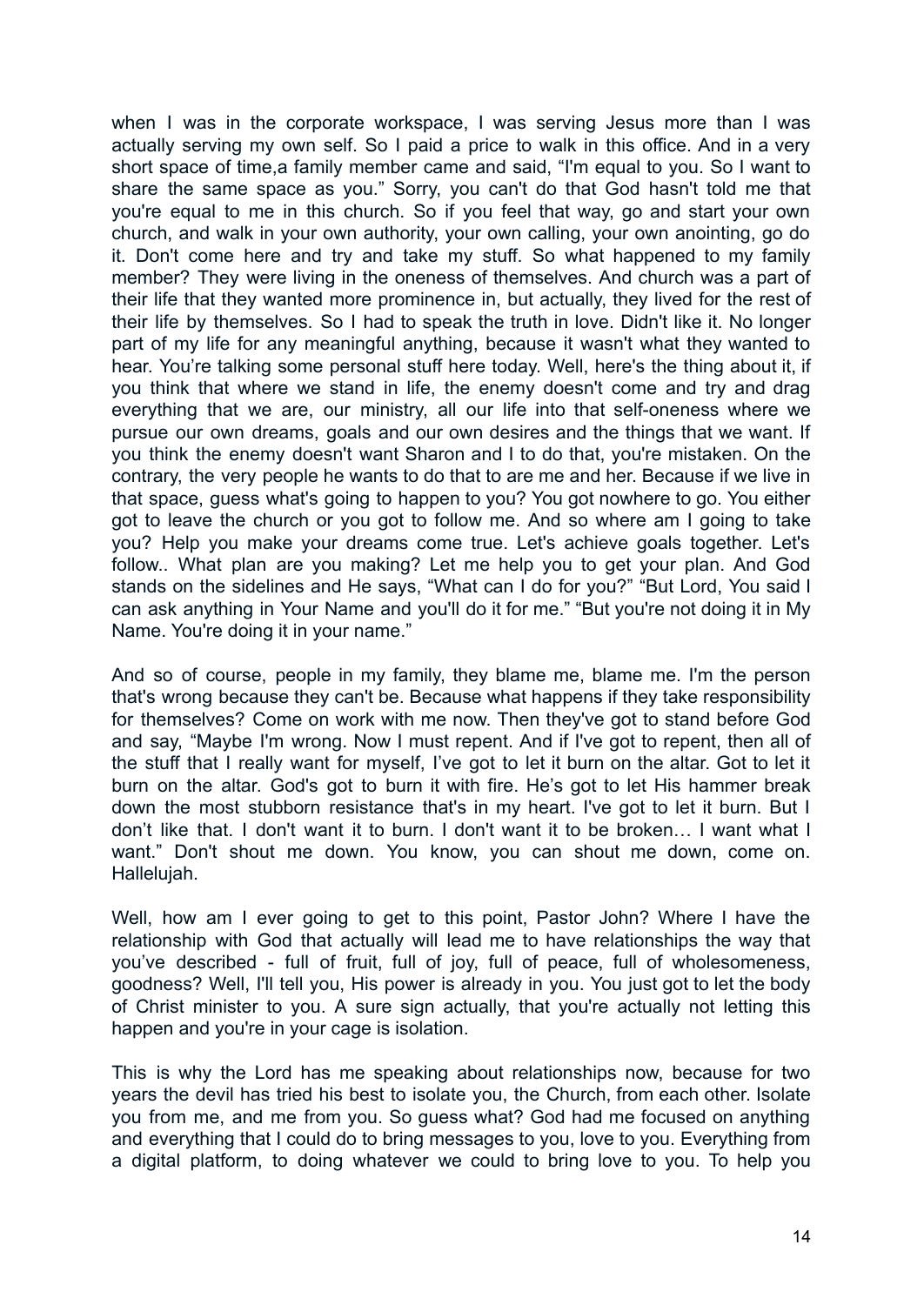when I was in the corporate workspace, I was serving Jesus more than I was actually serving my own self. So I paid a price to walk in this office. And in a very short space of time,a family member came and said, "I'm equal to you. So I want to share the same space as you." Sorry, you can't do that God hasn't told me that you're equal to me in this church. So if you feel that way, go and start your own church, and walk in your own authority, your own calling, your own anointing, go do it. Don't come here and try and take my stuff. So what happened to my family member? They were living in the oneness of themselves. And church was a part of their life that they wanted more prominence in, but actually, they lived for the rest of their life by themselves. So I had to speak the truth in love. Didn't like it. No longer part of my life for any meaningful anything, because it wasn't what they wanted to hear. You're talking some personal stuff here today. Well, here's the thing about it, if you think that where we stand in life, the enemy doesn't come and try and drag everything that we are, our ministry, all our life into that self-oneness where we pursue our own dreams, goals and our own desires and the things that we want. If you think the enemy doesn't want Sharon and I to do that, you're mistaken. On the contrary, the very people he wants to do that to are me and her. Because if we live in that space, guess what's going to happen to you? You got nowhere to go. You either got to leave the church or you got to follow me. And so where am I going to take you? Help you make your dreams come true. Let's achieve goals together. Let's follow.. What plan are you making? Let me help you to get your plan. And God stands on the sidelines and He says, "What can I do for you?" "But Lord, You said I can ask anything in Your Name and you'll do it for me." "But you're not doing it in My Name. You're doing it in your name."

And so of course, people in my family, they blame me, blame me. I'm the person that's wrong because they can't be. Because what happens if they take responsibility for themselves? Come on work with me now. Then they've got to stand before God and say, "Maybe I'm wrong. Now I must repent. And if I've got to repent, then all of the stuff that I really want for myself, I've got to let it burn on the altar. Got to let it burn on the altar. God's got to burn it with fire. He's got to let His hammer break down the most stubborn resistance that's in my heart. I've got to let it burn. But I don't like that. I don't want it to burn. I don't want it to be broken… I want what I want." Don't shout me down. You know, you can shout me down, come on. Hallelujah.

Well, how am I ever going to get to this point, Pastor John? Where I have the relationship with God that actually will lead me to have relationships the way that you've described - full of fruit, full of joy, full of peace, full of wholesomeness, goodness? Well, I'll tell you, His power is already in you. You just got to let the body of Christ minister to you. A sure sign actually, that you're actually not letting this happen and you're in your cage is isolation.

This is why the Lord has me speaking about relationships now, because for two years the devil has tried his best to isolate you, the Church, from each other. Isolate you from me, and me from you. So guess what? God had me focused on anything and everything that I could do to bring messages to you, love to you. Everything from a digital platform, to doing whatever we could to bring love to you. To help you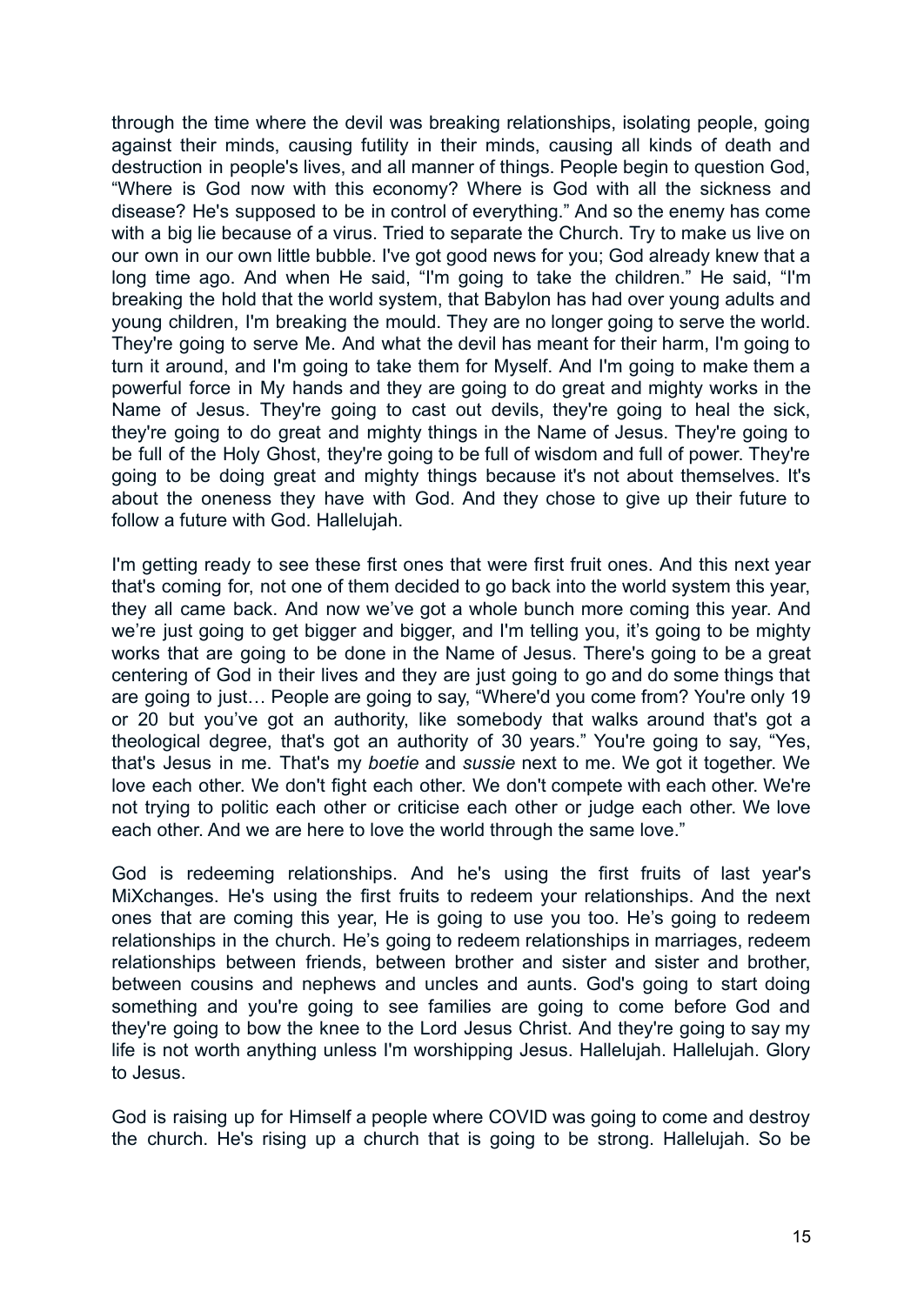through the time where the devil was breaking relationships, isolating people, going against their minds, causing futility in their minds, causing all kinds of death and destruction in people's lives, and all manner of things. People begin to question God, "Where is God now with this economy? Where is God with all the sickness and disease? He's supposed to be in control of everything." And so the enemy has come with a big lie because of a virus. Tried to separate the Church. Try to make us live on our own in our own little bubble. I've got good news for you; God already knew that a long time ago. And when He said, "I'm going to take the children." He said, "I'm breaking the hold that the world system, that Babylon has had over young adults and young children, I'm breaking the mould. They are no longer going to serve the world. They're going to serve Me. And what the devil has meant for their harm, I'm going to turn it around, and I'm going to take them for Myself. And I'm going to make them a powerful force in My hands and they are going to do great and mighty works in the Name of Jesus. They're going to cast out devils, they're going to heal the sick. they're going to do great and mighty things in the Name of Jesus. They're going to be full of the Holy Ghost, they're going to be full of wisdom and full of power. They're going to be doing great and mighty things because it's not about themselves. It's about the oneness they have with God. And they chose to give up their future to follow a future with God. Hallelujah.

I'm getting ready to see these first ones that were first fruit ones. And this next year that's coming for, not one of them decided to go back into the world system this year, they all came back. And now we've got a whole bunch more coming this year. And we're just going to get bigger and bigger, and I'm telling you, it's going to be mighty works that are going to be done in the Name of Jesus. There's going to be a great centering of God in their lives and they are just going to go and do some things that are going to just… People are going to say, "Where'd you come from? You're only 19 or 20 but you've got an authority, like somebody that walks around that's got a theological degree, that's got an authority of 30 years." You're going to say, "Yes, that's Jesus in me. That's my *boetie* and *sussie* next to me. We got it together. We love each other. We don't fight each other. We don't compete with each other. We're not trying to politic each other or criticise each other or judge each other. We love each other. And we are here to love the world through the same love."

God is redeeming relationships. And he's using the first fruits of last year's MiXchanges. He's using the first fruits to redeem your relationships. And the next ones that are coming this year, He is going to use you too. He's going to redeem relationships in the church. He's going to redeem relationships in marriages, redeem relationships between friends, between brother and sister and sister and brother, between cousins and nephews and uncles and aunts. God's going to start doing something and you're going to see families are going to come before God and they're going to bow the knee to the Lord Jesus Christ. And they're going to say my life is not worth anything unless I'm worshipping Jesus. Hallelujah. Hallelujah. Glory to Jesus.

God is raising up for Himself a people where COVID was going to come and destroy the church. He's rising up a church that is going to be strong. Hallelujah. So be